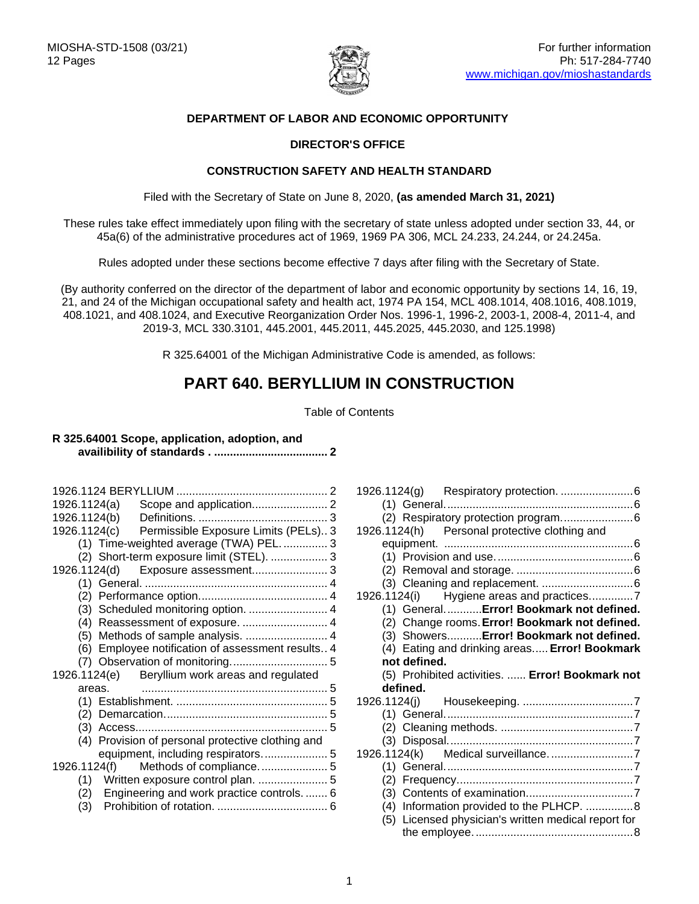

# **DEPARTMENT OF LABOR AND ECONOMIC OPPORTUNITY**

## **DIRECTOR'S OFFICE**

## **CONSTRUCTION SAFETY AND HEALTH STANDARD**

Filed with the Secretary of State on June 8, 2020, **(as amended March 31, 2021)**

These rules take effect immediately upon filing with the secretary of state unless adopted under section 33, 44, or 45a(6) of the administrative procedures act of 1969, 1969 PA 306, MCL 24.233, 24.244, or 24.245a.

Rules adopted under these sections become effective 7 days after filing with the Secretary of State.

(By authority conferred on the director of the department of labor and economic opportunity by sections 14, 16, 19, 21, and 24 of the Michigan occupational safety and health act, 1974 PA 154, MCL 408.1014, 408.1016, 408.1019, 408.1021, and 408.1024, and Executive Reorganization Order Nos. 1996-1, 1996-2, 2003-1, 2008-4, 2011-4, and 2019-3, MCL 330.3101, 445.2001, 445.2011, 445.2025, 445.2030, and 125.1998)

R 325.64001 of the Michigan Administrative Code is amended, as follows:

# **PART 640. BERYLLIUM IN CONSTRUCTION**

Table of Contents

#### **[R 325.64001 Scope, application, adoption, and](#page-1-0)  [availibility of standards . .................................... 2](#page-1-0)**

| 1926.1124(c) Permissible Exposure Limits (PELs) 3    |  |
|------------------------------------------------------|--|
| (1) Time-weighted average (TWA) PEL.  3              |  |
| (2) Short-term exposure limit (STEL).  3             |  |
|                                                      |  |
|                                                      |  |
|                                                      |  |
| (3) Scheduled monitoring option.  4                  |  |
| (4) Reassessment of exposure.  4                     |  |
| Methods of sample analysis.  4<br>(5)                |  |
| (6) Employee notification of assessment results 4    |  |
|                                                      |  |
| 1926.1124(e) Beryllium work areas and regulated      |  |
| areas.                                               |  |
|                                                      |  |
| (2)                                                  |  |
| (3)                                                  |  |
| Provision of personal protective clothing and<br>(4) |  |
| equipment, including respirators 5                   |  |
|                                                      |  |
| (1) Written exposure control plan.  5                |  |
| (2) Engineering and work practice controls.  6       |  |
| (3)                                                  |  |
|                                                      |  |

|     |              | (2) Respiratory protection program 6            |  |
|-----|--------------|-------------------------------------------------|--|
|     |              | 1926.1124(h) Personal protective clothing and   |  |
|     |              |                                                 |  |
|     |              |                                                 |  |
|     |              |                                                 |  |
|     |              |                                                 |  |
|     |              | 1926.1124(i) Hygiene areas and practices7       |  |
|     |              | (1) General Error! Bookmark not defined.        |  |
|     |              | (2) Change rooms. Error! Bookmark not defined.  |  |
|     |              | (3) Showers Error! Bookmark not defined.        |  |
|     |              | (4) Eating and drinking areas Error! Bookmark   |  |
|     |              |                                                 |  |
|     | not defined. |                                                 |  |
|     |              | (5) Prohibited activities.  Error! Bookmark not |  |
|     | defined.     |                                                 |  |
|     |              |                                                 |  |
|     |              |                                                 |  |
|     |              |                                                 |  |
|     |              |                                                 |  |
|     |              |                                                 |  |
|     |              |                                                 |  |
|     |              |                                                 |  |
|     |              |                                                 |  |
| (4) |              | Information provided to the PLHCP. 8            |  |
| (5) |              | Licensed physician's written medical report for |  |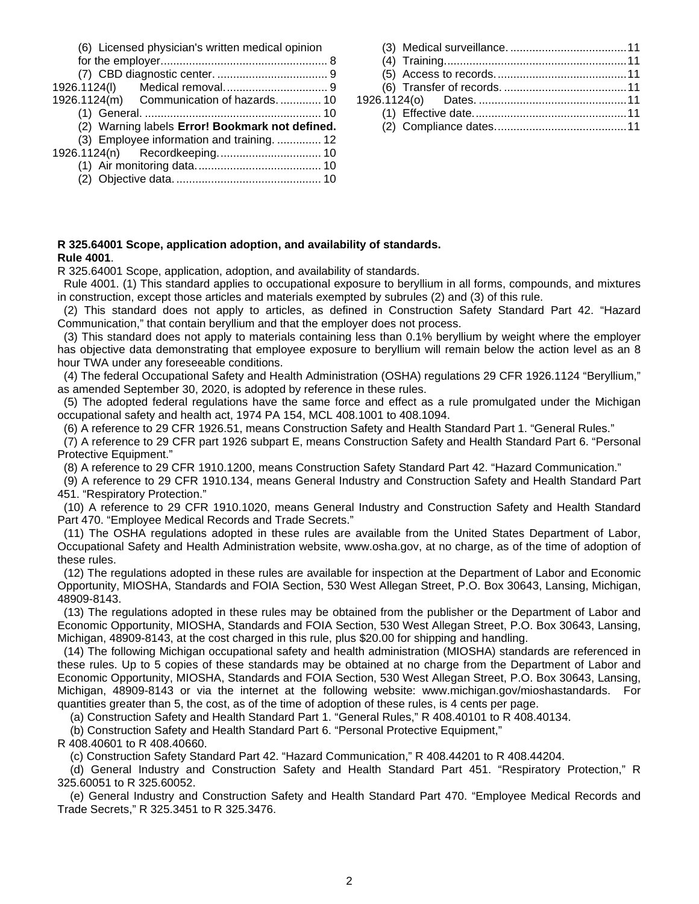| (6) Licensed physician's written medical opinion |  |  |  |  |
|--------------------------------------------------|--|--|--|--|
|                                                  |  |  |  |  |
|                                                  |  |  |  |  |
|                                                  |  |  |  |  |
| 1926.1124(m) Communication of hazards 10         |  |  |  |  |
|                                                  |  |  |  |  |
| (2) Warning labels Error! Bookmark not defined.  |  |  |  |  |
| (3) Employee information and training.  12       |  |  |  |  |
|                                                  |  |  |  |  |
|                                                  |  |  |  |  |
|                                                  |  |  |  |  |

## <span id="page-1-0"></span>**R 325.64001 Scope, application adoption, and availability of standards. Rule 4001**.

<span id="page-1-1"></span>R 325.64001 Scope, application, adoption, and availability of standards.

 Rule 4001. (1) This standard applies to occupational exposure to beryllium in all forms, compounds, and mixtures in construction, except those articles and materials exempted by subrules (2) and (3) of this rule.

 (2) This standard does not apply to articles, as defined in Construction Safety Standard Part 42. "Hazard Communication," that contain beryllium and that the employer does not process.

 (3) This standard does not apply to materials containing less than 0.1% beryllium by weight where the employer has objective data demonstrating that employee exposure to beryllium will remain below the action level as an 8 hour TWA under any foreseeable conditions.

 (4) The federal Occupational Safety and Health Administration (OSHA) regulations 29 CFR 1926.1124 "Beryllium," as amended September 30, 2020, is adopted by reference in these rules.

 (5) The adopted federal regulations have the same force and effect as a rule promulgated under the Michigan occupational safety and health act, 1974 PA 154, MCL 408.1001 to 408.1094.

(6) A reference to 29 CFR 1926.51, means Construction Safety and Health Standard Part 1. "General Rules."

 (7) A reference to 29 CFR part 1926 subpart E, means Construction Safety and Health Standard Part 6. "Personal Protective Equipment."

(8) A reference to 29 CFR 1910.1200, means Construction Safety Standard Part 42. "Hazard Communication."

 (9) A reference to 29 CFR 1910.134, means General Industry and Construction Safety and Health Standard Part 451. "Respiratory Protection."

 (10) A reference to 29 CFR 1910.1020, means General Industry and Construction Safety and Health Standard Part 470. "Employee Medical Records and Trade Secrets."

 (11) The OSHA regulations adopted in these rules are available from the United States Department of Labor, Occupational Safety and Health Administration website, www.osha.gov, at no charge, as of the time of adoption of these rules.

 (12) The regulations adopted in these rules are available for inspection at the Department of Labor and Economic Opportunity, MIOSHA, Standards and FOIA Section, 530 West Allegan Street, P.O. Box 30643, Lansing, Michigan, 48909-8143.

 (13) The regulations adopted in these rules may be obtained from the publisher or the Department of Labor and Economic Opportunity, MIOSHA, Standards and FOIA Section, 530 West Allegan Street, P.O. Box 30643, Lansing, Michigan, 48909-8143, at the cost charged in this rule, plus \$20.00 for shipping and handling.

 (14) The following Michigan occupational safety and health administration (MIOSHA) standards are referenced in these rules. Up to 5 copies of these standards may be obtained at no charge from the Department of Labor and Economic Opportunity, MIOSHA, Standards and FOIA Section, 530 West Allegan Street, P.O. Box 30643, Lansing, Michigan, 48909-8143 or via the internet at the following website: www.michigan.gov/mioshastandards. For quantities greater than 5, the cost, as of the time of adoption of these rules, is 4 cents per page.

(a) Construction Safety and Health Standard Part 1. "General Rules," R 408.40101 to R 408.40134.

(b) Construction Safety and Health Standard Part 6. "Personal Protective Equipment,"

R 408.40601 to R 408.40660.

(c) Construction Safety Standard Part 42. "Hazard Communication," R 408.44201 to R 408.44204.

 (d) General Industry and Construction Safety and Health Standard Part 451. "Respiratory Protection," R 325.60051 to R 325.60052.

 (e) General Industry and Construction Safety and Health Standard Part 470. "Employee Medical Records and Trade Secrets," R 325.3451 to R 325.3476.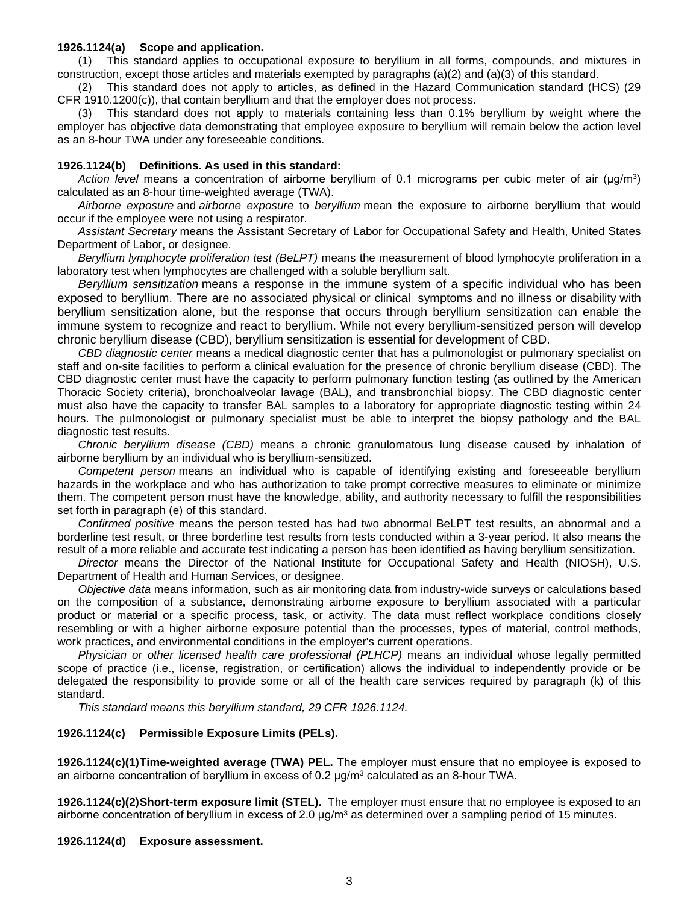#### <span id="page-2-0"></span>**1926.1124(a) Scope and application.**

(1) This standard applies to occupational exposure to beryllium in all forms, compounds, and mixtures in construction, except those articles and materials exempted by paragraphs (a)(2) and (a)(3) of this standard.

(2) This standard does not apply to articles, as defined in the Hazard Communication standard (HCS) (29 CFR 1910.1200(c)), that contain beryllium and that the employer does not process.

(3) This standard does not apply to materials containing less than 0.1% beryllium by weight where the employer has objective data demonstrating that employee exposure to beryllium will remain below the action level as an 8-hour TWA under any foreseeable conditions.

#### <span id="page-2-1"></span>**1926.1124(b) Definitions. As used in this standard:**

Action level means a concentration of airborne beryllium of 0.1 micrograms per cubic meter of air (μg/m<sup>3</sup>) calculated as an 8-hour time-weighted average (TWA).

*Airborne exposure* and *airborne exposure* to *beryllium* mean the exposure to airborne beryllium that would occur if the employee were not using a respirator.

*Assistant Secretary* means the Assistant Secretary of Labor for Occupational Safety and Health, United States Department of Labor, or designee.

*Beryllium lymphocyte proliferation test (BeLPT)* means the measurement of blood lymphocyte proliferation in a laboratory test when lymphocytes are challenged with a soluble beryllium salt.

*Beryllium sensitization* means a response in the immune system of a specific individual who has been exposed to beryllium. There are no associated physical or clinical symptoms and no illness or disability with beryllium sensitization alone, but the response that occurs through beryllium sensitization can enable the immune system to recognize and react to beryllium. While not every beryllium-sensitized person will develop chronic beryllium disease (CBD), beryllium sensitization is essential for development of CBD.

*CBD diagnostic center* means a medical diagnostic center that has a pulmonologist or pulmonary specialist on staff and on-site facilities to perform a clinical evaluation for the presence of chronic beryllium disease (CBD). The CBD diagnostic center must have the capacity to perform pulmonary function testing (as outlined by the American Thoracic Society criteria), bronchoalveolar lavage (BAL), and transbronchial biopsy. The CBD diagnostic center must also have the capacity to transfer BAL samples to a laboratory for appropriate diagnostic testing within 24 hours. The pulmonologist or pulmonary specialist must be able to interpret the biopsy pathology and the BAL diagnostic test results.

*Chronic beryllium disease (CBD)* means a chronic granulomatous lung disease caused by inhalation of airborne beryllium by an individual who is beryllium-sensitized.

*Competent person* means an individual who is capable of identifying existing and foreseeable beryllium hazards in the workplace and who has authorization to take prompt corrective measures to eliminate or minimize them. The competent person must have the knowledge, ability, and authority necessary to fulfill the responsibilities set forth in paragraph (e) of this standard.

*Confirmed positive* means the person tested has had two abnormal BeLPT test results, an abnormal and a borderline test result, or three borderline test results from tests conducted within a 3-year period. It also means the result of a more reliable and accurate test indicating a person has been identified as having beryllium sensitization.

*Director* means the Director of the National Institute for Occupational Safety and Health (NIOSH), U.S. Department of Health and Human Services, or designee.

*Objective data* means information, such as air monitoring data from industry-wide surveys or calculations based on the composition of a substance, demonstrating airborne exposure to beryllium associated with a particular product or material or a specific process, task, or activity. The data must reflect workplace conditions closely resembling or with a higher airborne exposure potential than the processes, types of material, control methods, work practices, and environmental conditions in the employer's current operations.

*Physician or other licensed health care professional (PLHCP)* means an individual whose legally permitted scope of practice (i.e., license, registration, or certification) allows the individual to independently provide or be delegated the responsibility to provide some or all of the health care services required by paragraph (k) of this standard.

*This standard means this beryllium standard, 29 CFR 1926.1124.*

#### <span id="page-2-2"></span>**1926.1124(c) Permissible Exposure Limits (PELs).**

<span id="page-2-3"></span>**1926.1124(c)(1) Time-weighted average (TWA) PEL.** The employer must ensure that no employee is exposed to an airborne concentration of beryllium in excess of 0.2  $\mu$ g/m $^3$  calculated as an 8-hour TWA.

<span id="page-2-4"></span>**1926.1124(c)(2) Short-term exposure limit (STEL).** The employer must ensure that no employee is exposed to an airborne concentration of beryllium in excess of 2.0  $\mu$ g/m<sup>3</sup> as determined over a sampling period of 15 minutes.

#### <span id="page-2-5"></span>**1926.1124(d) Exposure assessment.**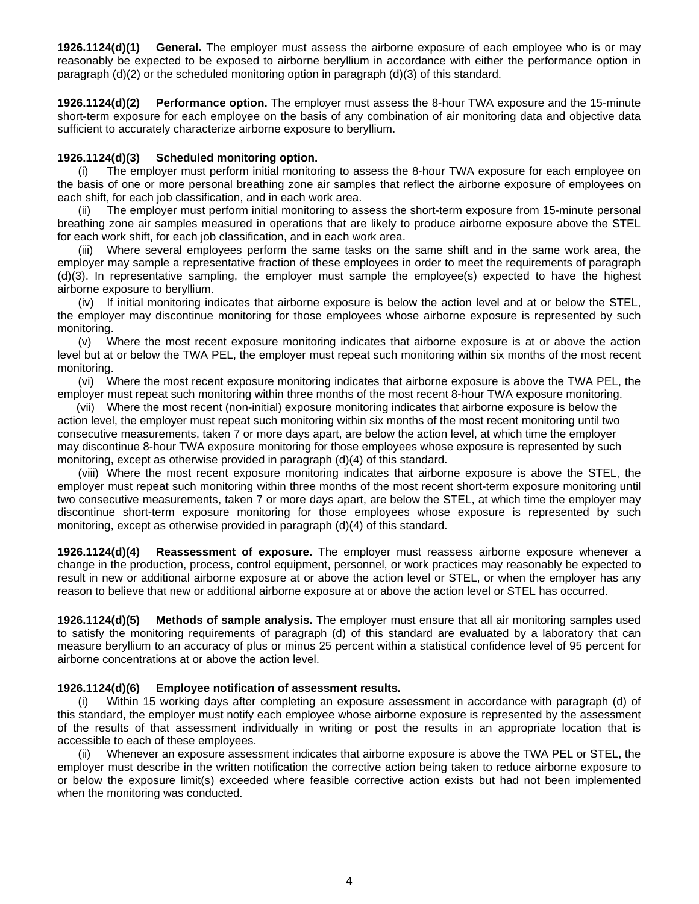<span id="page-3-0"></span>**1926.1124(d)(1) General.** The employer must assess the airborne exposure of each employee who is or may reasonably be expected to be exposed to airborne beryllium in accordance with either the performance option in paragraph (d)(2) or the scheduled monitoring option in paragraph (d)(3) of this standard.

<span id="page-3-1"></span>**1926.1124(d)(2) Performance option.** The employer must assess the 8-hour TWA exposure and the 15-minute short-term exposure for each employee on the basis of any combination of air monitoring data and objective data sufficient to accurately characterize airborne exposure to beryllium.

## <span id="page-3-2"></span>**1926.1124(d)(3) Scheduled monitoring option.**

(i) The employer must perform initial monitoring to assess the 8-hour TWA exposure for each employee on the basis of one or more personal breathing zone air samples that reflect the airborne exposure of employees on each shift, for each job classification, and in each work area.

The employer must perform initial monitoring to assess the short-term exposure from 15-minute personal breathing zone air samples measured in operations that are likely to produce airborne exposure above the STEL for each work shift, for each job classification, and in each work area.

(iii) Where several employees perform the same tasks on the same shift and in the same work area, the employer may sample a representative fraction of these employees in order to meet the requirements of paragraph (d)(3). In representative sampling, the employer must sample the employee(s) expected to have the highest airborne exposure to beryllium.

(iv) If initial monitoring indicates that airborne exposure is below the action level and at or below the STEL, the employer may discontinue monitoring for those employees whose airborne exposure is represented by such monitoring.

(v) Where the most recent exposure monitoring indicates that airborne exposure is at or above the action level but at or below the TWA PEL, the employer must repeat such monitoring within six months of the most recent monitoring.

(vi) Where the most recent exposure monitoring indicates that airborne exposure is above the TWA PEL, the employer must repeat such monitoring within three months of the most recent 8-hour TWA exposure monitoring.

 (vii) Where the most recent (non-initial) exposure monitoring indicates that airborne exposure is below the action level, the employer must repeat such monitoring within six months of the most recent monitoring until two consecutive measurements, taken 7 or more days apart, are below the action level, at which time the employer may discontinue 8-hour TWA exposure monitoring for those employees whose exposure is represented by such monitoring, except as otherwise provided in paragraph (d)(4) of this standard.

(viii) Where the most recent exposure monitoring indicates that airborne exposure is above the STEL, the employer must repeat such monitoring within three months of the most recent short-term exposure monitoring until two consecutive measurements, taken 7 or more days apart, are below the STEL, at which time the employer may discontinue short-term exposure monitoring for those employees whose exposure is represented by such monitoring, except as otherwise provided in paragraph (d)(4) of this standard.

<span id="page-3-3"></span>**1926.1124(d)(4) Reassessment of exposure.** The employer must reassess airborne exposure whenever a change in the production, process, control equipment, personnel, or work practices may reasonably be expected to result in new or additional airborne exposure at or above the action level or STEL, or when the employer has any reason to believe that new or additional airborne exposure at or above the action level or STEL has occurred.

<span id="page-3-4"></span>**1926.1124(d)(5) Methods of sample analysis.** The employer must ensure that all air monitoring samples used to satisfy the monitoring requirements of paragraph (d) of this standard are evaluated by a laboratory that can measure beryllium to an accuracy of plus or minus 25 percent within a statistical confidence level of 95 percent for airborne concentrations at or above the action level.

## <span id="page-3-5"></span>**1926.1124(d)(6) Employee notification of assessment results.**

(i) Within 15 working days after completing an exposure assessment in accordance with paragraph (d) of this standard, the employer must notify each employee whose airborne exposure is represented by the assessment of the results of that assessment individually in writing or post the results in an appropriate location that is accessible to each of these employees.

(ii) Whenever an exposure assessment indicates that airborne exposure is above the TWA PEL or STEL, the employer must describe in the written notification the corrective action being taken to reduce airborne exposure to or below the exposure limit(s) exceeded where feasible corrective action exists but had not been implemented when the monitoring was conducted.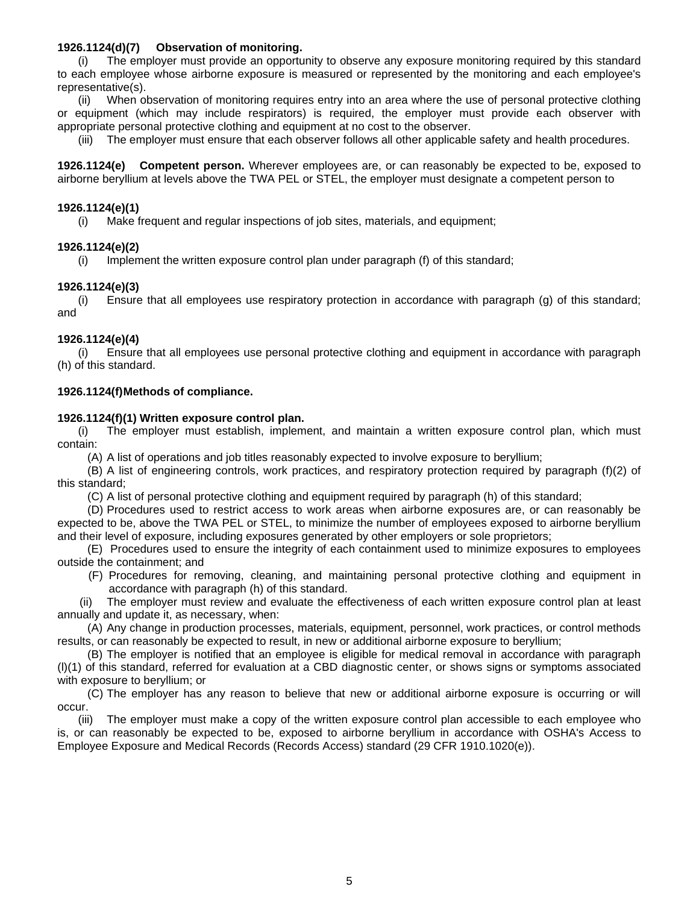## <span id="page-4-0"></span>**1926.1124(d)(7) Observation of monitoring.**

(i) The employer must provide an opportunity to observe any exposure monitoring required by this standard to each employee whose airborne exposure is measured or represented by the monitoring and each employee's representative(s).

(ii) When observation of monitoring requires entry into an area where the use of personal protective clothing or equipment (which may include respirators) is required, the employer must provide each observer with appropriate personal protective clothing and equipment at no cost to the observer.

(iii) The employer must ensure that each observer follows all other applicable safety and health procedures.

<span id="page-4-1"></span>**1926.1124(e) Competent person.** Wherever employees are, or can reasonably be expected to be, exposed to airborne beryllium at levels above the TWA PEL or STEL, the employer must designate a competent person to

#### <span id="page-4-2"></span>**1926.1124(e)(1)**

(i) Make frequent and regular inspections of job sites, materials, and equipment;

#### <span id="page-4-3"></span>**1926.1124(e)(2)**

(i) Implement the written exposure control plan under paragraph (f) of this standard;

#### <span id="page-4-4"></span>**1926.1124(e)(3)**

(i) Ensure that all employees use respiratory protection in accordance with paragraph (g) of this standard; and

## <span id="page-4-5"></span>**1926.1124(e)(4)**

(i) Ensure that all employees use personal protective clothing and equipment in accordance with paragraph (h) of this standard.

#### <span id="page-4-6"></span>**1926.1124(f) Methods of compliance.**

#### <span id="page-4-7"></span>**1926.1124(f)(1) Written exposure control plan.**

(i) The employer must establish, implement, and maintain a written exposure control plan, which must contain:

(A) A list of operations and job titles reasonably expected to involve exposure to beryllium;

 (B) A list of engineering controls, work practices, and respiratory protection required by paragraph (f)(2) of this standard;

(C) A list of personal protective clothing and equipment required by paragraph (h) of this standard;

 (D) Procedures used to restrict access to work areas when airborne exposures are, or can reasonably be expected to be, above the TWA PEL or STEL, to minimize the number of employees exposed to airborne beryllium and their level of exposure, including exposures generated by other employers or sole proprietors;

 (E) Procedures used to ensure the integrity of each containment used to minimize exposures to employees outside the containment; and

(F) Procedures for removing, cleaning, and maintaining personal protective clothing and equipment in accordance with paragraph (h) of this standard.

 (ii) The employer must review and evaluate the effectiveness of each written exposure control plan at least annually and update it, as necessary, when:

 (A) Any change in production processes, materials, equipment, personnel, work practices, or control methods results, or can reasonably be expected to result, in new or additional airborne exposure to beryllium;

 (B) The employer is notified that an employee is eligible for medical removal in accordance with paragraph (l)(1) of this standard, referred for evaluation at a CBD diagnostic center, or shows signs or symptoms associated with exposure to beryllium; or

 (C) The employer has any reason to believe that new or additional airborne exposure is occurring or will occur.

(iii) The employer must make a copy of the written exposure control plan accessible to each employee who is, or can reasonably be expected to be, exposed to airborne beryllium in accordance with OSHA's Access to Employee Exposure and Medical Records (Records Access) standard (29 CFR 1910.1020(e)).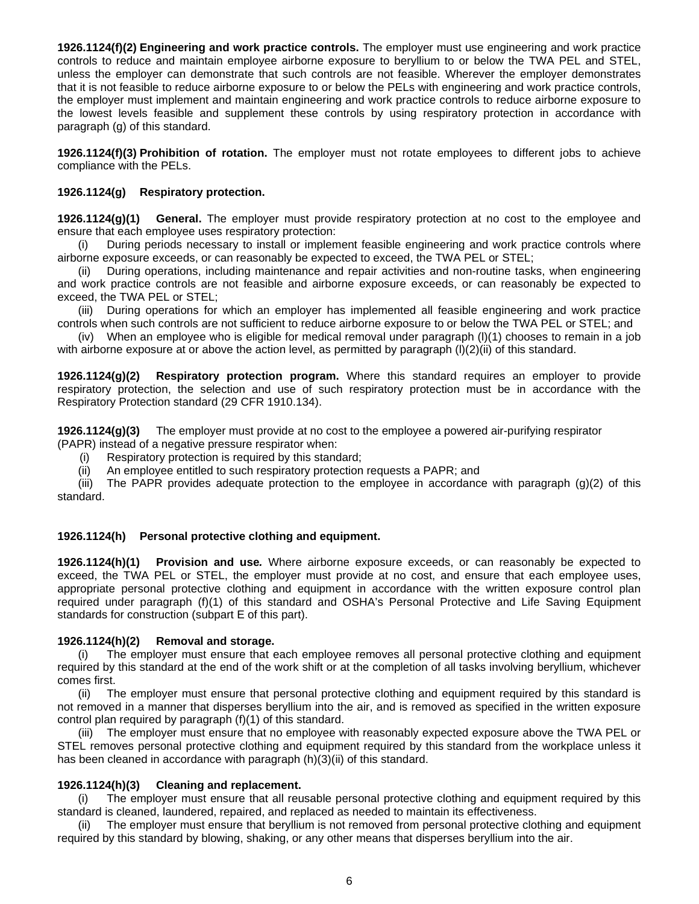<span id="page-5-0"></span>**1926.1124(f)(2) Engineering and work practice controls.** The employer must use engineering and work practice controls to reduce and maintain employee airborne exposure to beryllium to or below the TWA PEL and STEL, unless the employer can demonstrate that such controls are not feasible. Wherever the employer demonstrates that it is not feasible to reduce airborne exposure to or below the PELs with engineering and work practice controls, the employer must implement and maintain engineering and work practice controls to reduce airborne exposure to the lowest levels feasible and supplement these controls by using respiratory protection in accordance with paragraph (g) of this standard.

<span id="page-5-1"></span>**1926.1124(f)(3) Prohibition of rotation.** The employer must not rotate employees to different jobs to achieve compliance with the PELs.

## <span id="page-5-2"></span>**1926.1124(g) Respiratory protection.**

<span id="page-5-3"></span>**1926.1124(g)(1) General.** The employer must provide respiratory protection at no cost to the employee and ensure that each employee uses respiratory protection:

(i) During periods necessary to install or implement feasible engineering and work practice controls where airborne exposure exceeds, or can reasonably be expected to exceed, the TWA PEL or STEL;

(ii) During operations, including maintenance and repair activities and non-routine tasks, when engineering and work practice controls are not feasible and airborne exposure exceeds, or can reasonably be expected to exceed, the TWA PEL or STEL;

(iii) During operations for which an employer has implemented all feasible engineering and work practice controls when such controls are not sufficient to reduce airborne exposure to or below the TWA PEL or STEL; and

(iv) When an employee who is eligible for medical removal under paragraph (l)(1) chooses to remain in a job with airborne exposure at or above the action level, as permitted by paragraph (I)(2)(ii) of this standard.

<span id="page-5-4"></span>**1926.1124(g)(2) Respiratory protection program.** Where this standard requires an employer to provide respiratory protection, the selection and use of such respiratory protection must be in accordance with the Respiratory Protection standard (29 CFR 1910.134).

**1926.1124(g)(3)** The employer must provide at no cost to the employee a powered air-purifying respirator

(PAPR) instead of a negative pressure respirator when:

(i) Respiratory protection is required by this standard;

(ii) An employee entitled to such respiratory protection requests a PAPR; and

(iii) The PAPR provides adequate protection to the employee in accordance with paragraph (g)(2) of this standard.

## <span id="page-5-5"></span>**1926.1124(h) Personal protective clothing and equipment.**

<span id="page-5-6"></span>**1926.1124(h)(1) Provision and use***.* Where airborne exposure exceeds, or can reasonably be expected to exceed, the TWA PEL or STEL, the employer must provide at no cost, and ensure that each employee uses, appropriate personal protective clothing and equipment in accordance with the written exposure control plan required under paragraph (f)(1) of this standard and OSHA's Personal Protective and Life Saving Equipment standards for construction (subpart E of this part).

## <span id="page-5-7"></span>**1926.1124(h)(2) Removal and storage.**

(i) The employer must ensure that each employee removes all personal protective clothing and equipment required by this standard at the end of the work shift or at the completion of all tasks involving beryllium, whichever comes first.

(ii) The employer must ensure that personal protective clothing and equipment required by this standard is not removed in a manner that disperses beryllium into the air, and is removed as specified in the written exposure control plan required by paragraph (f)(1) of this standard.

(iii) The employer must ensure that no employee with reasonably expected exposure above the TWA PEL or STEL removes personal protective clothing and equipment required by this standard from the workplace unless it has been cleaned in accordance with paragraph (h)(3)(ii) of this standard.

## <span id="page-5-8"></span>**1926.1124(h)(3) Cleaning and replacement.**

(i) The employer must ensure that all reusable personal protective clothing and equipment required by this standard is cleaned, laundered, repaired, and replaced as needed to maintain its effectiveness.

(ii) The employer must ensure that beryllium is not removed from personal protective clothing and equipment required by this standard by blowing, shaking, or any other means that disperses beryllium into the air.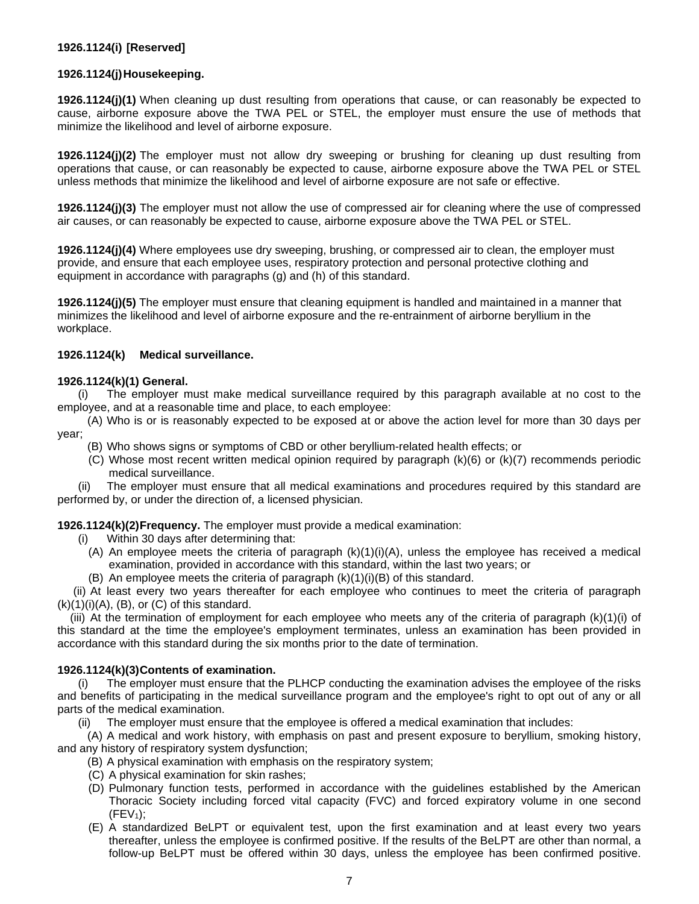## <span id="page-6-0"></span>**1926.1124(i) [Reserved]**

## <span id="page-6-1"></span>**1926.1124(j) Housekeeping.**

<span id="page-6-2"></span>**1926.1124(j)(1)** When cleaning up dust resulting from operations that cause, or can reasonably be expected to cause, airborne exposure above the TWA PEL or STEL, the employer must ensure the use of methods that minimize the likelihood and level of airborne exposure.

<span id="page-6-3"></span>**1926.1124(j)(2)** The employer must not allow dry sweeping or brushing for cleaning up dust resulting from operations that cause, or can reasonably be expected to cause, airborne exposure above the TWA PEL or STEL unless methods that minimize the likelihood and level of airborne exposure are not safe or effective.

<span id="page-6-4"></span>**1926.1124(j)(3)** The employer must not allow the use of compressed air for cleaning where the use of compressed air causes, or can reasonably be expected to cause, airborne exposure above the TWA PEL or STEL.

**1926.1124(j)(4)** Where employees use dry sweeping, brushing, or compressed air to clean, the employer must provide, and ensure that each employee uses, respiratory protection and personal protective clothing and equipment in accordance with paragraphs (g) and (h) of this standard.

<span id="page-6-5"></span>**1926.1124(j)(5)** The employer must ensure that cleaning equipment is handled and maintained in a manner that minimizes the likelihood and level of airborne exposure and the re-entrainment of airborne beryllium in the workplace.

## **1926.1124(k) Medical surveillance.**

#### <span id="page-6-6"></span>**1926.1124(k)(1) General.**

(i) The employer must make medical surveillance required by this paragraph available at no cost to the employee, and at a reasonable time and place, to each employee:

 (A) Who is or is reasonably expected to be exposed at or above the action level for more than 30 days per year;

- (B) Who shows signs or symptoms of CBD or other beryllium-related health effects; or
- (C) Whose most recent written medical opinion required by paragraph (k)(6) or (k)(7) recommends periodic medical surveillance.

(ii) The employer must ensure that all medical examinations and procedures required by this standard are performed by, or under the direction of, a licensed physician.

<span id="page-6-7"></span>**1926.1124(k)(2) Frequency.** The employer must provide a medical examination:

- (i) Within 30 days after determining that:
	- (A) An employee meets the criteria of paragraph  $(k)(1)(i)(A)$ , unless the employee has received a medical examination, provided in accordance with this standard, within the last two years; or
	- (B) An employee meets the criteria of paragraph (k)(1)(i)(B) of this standard.

 (ii) At least every two years thereafter for each employee who continues to meet the criteria of paragraph  $(k)(1)(i)(A)$ ,  $(B)$ , or  $(C)$  of this standard.

 (iii) At the termination of employment for each employee who meets any of the criteria of paragraph (k)(1)(i) of this standard at the time the employee's employment terminates, unless an examination has been provided in accordance with this standard during the six months prior to the date of termination.

## <span id="page-6-8"></span>**1926.1124(k)(3) Contents of examination.**

(i) The employer must ensure that the PLHCP conducting the examination advises the employee of the risks and benefits of participating in the medical surveillance program and the employee's right to opt out of any or all parts of the medical examination.

(ii) The employer must ensure that the employee is offered a medical examination that includes:

 (A) A medical and work history, with emphasis on past and present exposure to beryllium, smoking history, and any history of respiratory system dysfunction;

- (B) A physical examination with emphasis on the respiratory system;
- (C) A physical examination for skin rashes;
- (D) Pulmonary function tests, performed in accordance with the guidelines established by the American Thoracic Society including forced vital capacity (FVC) and forced expiratory volume in one second  $(FEV<sub>1</sub>)$ ;
- (E) A standardized BeLPT or equivalent test, upon the first examination and at least every two years thereafter, unless the employee is confirmed positive. If the results of the BeLPT are other than normal, a follow-up BeLPT must be offered within 30 days, unless the employee has been confirmed positive.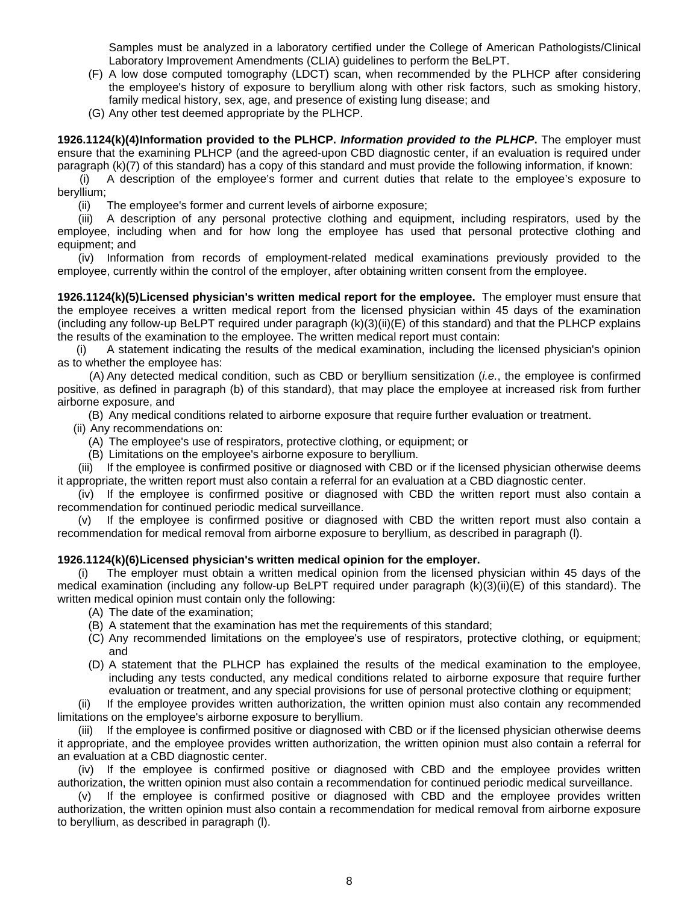Samples must be analyzed in a laboratory certified under the College of American Pathologists/Clinical Laboratory Improvement Amendments (CLIA) guidelines to perform the BeLPT.

- (F) A low dose computed tomography (LDCT) scan, when recommended by the PLHCP after considering the employee's history of exposure to beryllium along with other risk factors, such as smoking history, family medical history, sex, age, and presence of existing lung disease; and
- (G) Any other test deemed appropriate by the PLHCP.

<span id="page-7-0"></span>**1926.1124(k)(4) Information provided to the PLHCP.** *Information provided to the PLHCP***.** The employer must ensure that the examining PLHCP (and the agreed-upon CBD diagnostic center, if an evaluation is required under paragraph (k)(7) of this standard) has a copy of this standard and must provide the following information, if known:

 (i) A description of the employee's former and current duties that relate to the employee's exposure to beryllium;

(ii) The employee's former and current levels of airborne exposure;

(iii) A description of any personal protective clothing and equipment, including respirators, used by the employee, including when and for how long the employee has used that personal protective clothing and equipment; and

(iv) Information from records of employment-related medical examinations previously provided to the employee, currently within the control of the employer, after obtaining written consent from the employee.

<span id="page-7-1"></span>**1926.1124(k)(5) Licensed physician's written medical report for the employee.** The employer must ensure that the employee receives a written medical report from the licensed physician within 45 days of the examination (including any follow-up BeLPT required under paragraph (k)(3)(ii)(E) of this standard) and that the PLHCP explains the results of the examination to the employee. The written medical report must contain:

 (i) A statement indicating the results of the medical examination, including the licensed physician's opinion as to whether the employee has:

 (A) Any detected medical condition, such as CBD or beryllium sensitization (*i.e.*, the employee is confirmed positive, as defined in paragraph (b) of this standard), that may place the employee at increased risk from further airborne exposure, and

(B) Any medical conditions related to airborne exposure that require further evaluation or treatment.

(ii) Any recommendations on:

(A) The employee's use of respirators, protective clothing, or equipment; or

(B) Limitations on the employee's airborne exposure to beryllium.

(iii) If the employee is confirmed positive or diagnosed with CBD or if the licensed physician otherwise deems it appropriate, the written report must also contain a referral for an evaluation at a CBD diagnostic center.

(iv) If the employee is confirmed positive or diagnosed with CBD the written report must also contain a recommendation for continued periodic medical surveillance.

(v) If the employee is confirmed positive or diagnosed with CBD the written report must also contain a recommendation for medical removal from airborne exposure to beryllium, as described in paragraph (l).

## <span id="page-7-2"></span>**1926.1124(k)(6) Licensed physician's written medical opinion for the employer.**

(i) The employer must obtain a written medical opinion from the licensed physician within 45 days of the medical examination (including any follow-up BeLPT required under paragraph (k)(3)(ii)(E) of this standard). The written medical opinion must contain only the following:

(A) The date of the examination;

- (B) A statement that the examination has met the requirements of this standard;
- (C) Any recommended limitations on the employee's use of respirators, protective clothing, or equipment; and
- (D) A statement that the PLHCP has explained the results of the medical examination to the employee, including any tests conducted, any medical conditions related to airborne exposure that require further evaluation or treatment, and any special provisions for use of personal protective clothing or equipment;

(ii) If the employee provides written authorization, the written opinion must also contain any recommended limitations on the employee's airborne exposure to beryllium.

(iii) If the employee is confirmed positive or diagnosed with CBD or if the licensed physician otherwise deems it appropriate, and the employee provides written authorization, the written opinion must also contain a referral for an evaluation at a CBD diagnostic center.

(iv) If the employee is confirmed positive or diagnosed with CBD and the employee provides written authorization, the written opinion must also contain a recommendation for continued periodic medical surveillance.

(v) If the employee is confirmed positive or diagnosed with CBD and the employee provides written authorization, the written opinion must also contain a recommendation for medical removal from airborne exposure to beryllium, as described in paragraph (l).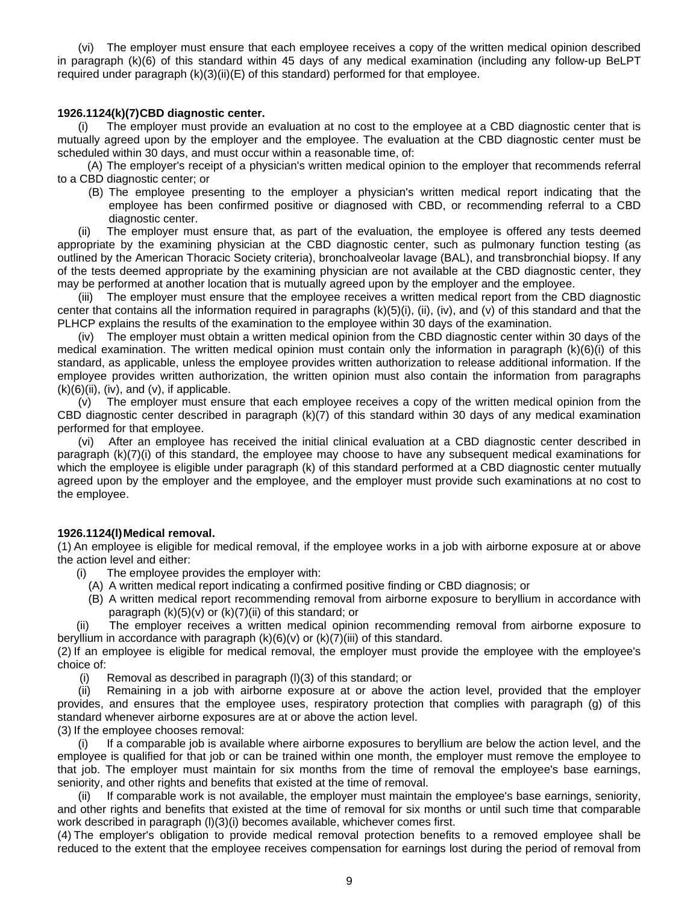(vi) The employer must ensure that each employee receives a copy of the written medical opinion described in paragraph (k)(6) of this standard within 45 days of any medical examination (including any follow-up BeLPT required under paragraph  $(k)(3)(ii)(E)$  of this standard) performed for that employee.

#### <span id="page-8-0"></span>**1926.1124(k)(7) CBD diagnostic center.**

(i) The employer must provide an evaluation at no cost to the employee at a CBD diagnostic center that is mutually agreed upon by the employer and the employee. The evaluation at the CBD diagnostic center must be scheduled within 30 days, and must occur within a reasonable time, of:

 (A) The employer's receipt of a physician's written medical opinion to the employer that recommends referral to a CBD diagnostic center; or

(B) The employee presenting to the employer a physician's written medical report indicating that the employee has been confirmed positive or diagnosed with CBD, or recommending referral to a CBD diagnostic center.

(ii) The employer must ensure that, as part of the evaluation, the employee is offered any tests deemed appropriate by the examining physician at the CBD diagnostic center, such as pulmonary function testing (as outlined by the American Thoracic Society criteria), bronchoalveolar lavage (BAL), and transbronchial biopsy. If any of the tests deemed appropriate by the examining physician are not available at the CBD diagnostic center, they may be performed at another location that is mutually agreed upon by the employer and the employee.

(iii) The employer must ensure that the employee receives a written medical report from the CBD diagnostic center that contains all the information required in paragraphs (k)(5)(i), (ii), (iv), and (v) of this standard and that the PLHCP explains the results of the examination to the employee within 30 days of the examination.

(iv) The employer must obtain a written medical opinion from the CBD diagnostic center within 30 days of the medical examination. The written medical opinion must contain only the information in paragraph (k)(6)(i) of this standard, as applicable, unless the employee provides written authorization to release additional information. If the employee provides written authorization, the written opinion must also contain the information from paragraphs  $(k)(6)(ii)$ , (iv), and (v), if applicable.

(v) The employer must ensure that each employee receives a copy of the written medical opinion from the CBD diagnostic center described in paragraph (k)(7) of this standard within 30 days of any medical examination performed for that employee.

(vi) After an employee has received the initial clinical evaluation at a CBD diagnostic center described in paragraph (k)(7)(i) of this standard, the employee may choose to have any subsequent medical examinations for which the employee is eligible under paragraph (k) of this standard performed at a CBD diagnostic center mutually agreed upon by the employer and the employee, and the employer must provide such examinations at no cost to the employee.

## <span id="page-8-1"></span>**1926.1124(l) Medical removal.**

(1) An employee is eligible for medical removal, if the employee works in a job with airborne exposure at or above the action level and either:

- (i) The employee provides the employer with:
	- (A) A written medical report indicating a confirmed positive finding or CBD diagnosis; or
	- (B) A written medical report recommending removal from airborne exposure to beryllium in accordance with paragraph  $(k)(5)(v)$  or  $(k)(7)(ii)$  of this standard; or

 (ii) The employer receives a written medical opinion recommending removal from airborne exposure to beryllium in accordance with paragraph  $(k)(6)(v)$  or  $(k)(7)(iii)$  of this standard.

(2) If an employee is eligible for medical removal, the employer must provide the employee with the employee's choice of:

(i) Removal as described in paragraph (l)(3) of this standard; or

(ii) Remaining in a job with airborne exposure at or above the action level, provided that the employer provides, and ensures that the employee uses, respiratory protection that complies with paragraph (g) of this standard whenever airborne exposures are at or above the action level.

(3) If the employee chooses removal:

If a comparable job is available where airborne exposures to beryllium are below the action level, and the employee is qualified for that job or can be trained within one month, the employer must remove the employee to that job. The employer must maintain for six months from the time of removal the employee's base earnings, seniority, and other rights and benefits that existed at the time of removal.

(ii) If comparable work is not available, the employer must maintain the employee's base earnings, seniority, and other rights and benefits that existed at the time of removal for six months or until such time that comparable work described in paragraph (l)(3)(i) becomes available, whichever comes first.

(4) The employer's obligation to provide medical removal protection benefits to a removed employee shall be reduced to the extent that the employee receives compensation for earnings lost during the period of removal from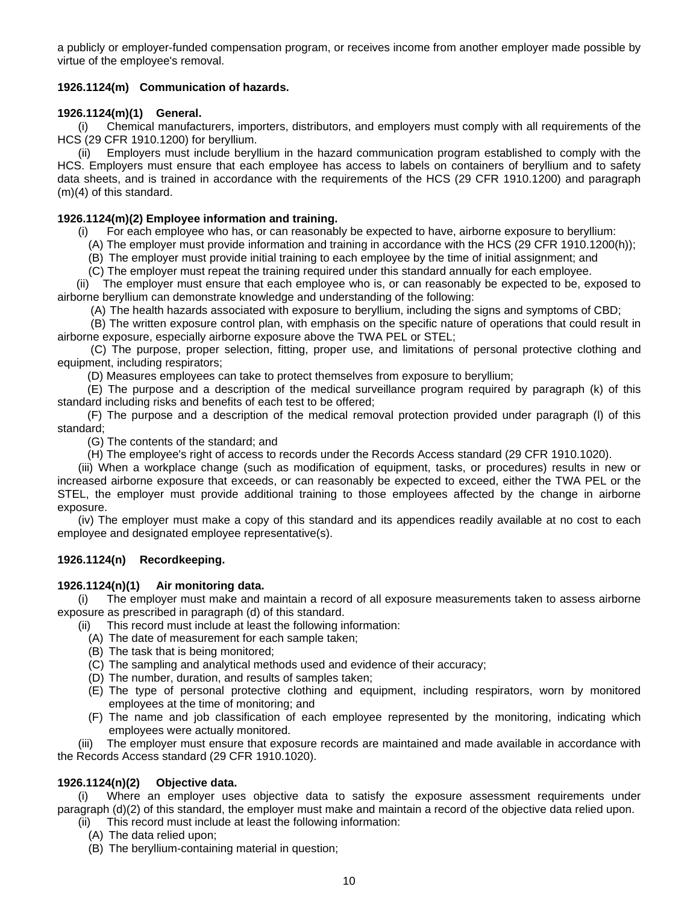a publicly or employer-funded compensation program, or receives income from another employer made possible by virtue of the employee's removal.

# <span id="page-9-0"></span>**1926.1124(m) Communication of hazards.**

# <span id="page-9-1"></span>**1926.1124(m)(1) General.**

(i) Chemical manufacturers, importers, distributors, and employers must comply with all requirements of the HCS (29 CFR 1910.1200) for beryllium.

<span id="page-9-2"></span>(ii) Employers must include beryllium in the hazard communication program established to comply with the HCS. Employers must ensure that each employee has access to labels on containers of beryllium and to safety data sheets, and is trained in accordance with the requirements of the HCS (29 CFR 1910.1200) and paragraph (m)(4) of this standard.

# **1926.1124(m)(2) Employee information and training.**

(i) For each employee who has, or can reasonably be expected to have, airborne exposure to beryllium:

(A) The employer must provide information and training in accordance with the HCS (29 CFR 1910.1200(h));

(B) The employer must provide initial training to each employee by the time of initial assignment; and

(C) The employer must repeat the training required under this standard annually for each employee.

 (ii) The employer must ensure that each employee who is, or can reasonably be expected to be, exposed to airborne beryllium can demonstrate knowledge and understanding of the following:

(A) The health hazards associated with exposure to beryllium, including the signs and symptoms of CBD;

 (B) The written exposure control plan, with emphasis on the specific nature of operations that could result in airborne exposure, especially airborne exposure above the TWA PEL or STEL;

 (C) The purpose, proper selection, fitting, proper use, and limitations of personal protective clothing and equipment, including respirators;

(D) Measures employees can take to protect themselves from exposure to beryllium;

 (E) The purpose and a description of the medical surveillance program required by paragraph (k) of this standard including risks and benefits of each test to be offered;

 (F) The purpose and a description of the medical removal protection provided under paragraph (l) of this standard;

(G) The contents of the standard; and

(H) The employee's right of access to records under the Records Access standard (29 CFR 1910.1020).

(iii) When a workplace change (such as modification of equipment, tasks, or procedures) results in new or increased airborne exposure that exceeds, or can reasonably be expected to exceed, either the TWA PEL or the STEL, the employer must provide additional training to those employees affected by the change in airborne exposure.

(iv) The employer must make a copy of this standard and its appendices readily available at no cost to each employee and designated employee representative(s).

# <span id="page-9-3"></span>**1926.1124(n) Recordkeeping.**

# <span id="page-9-4"></span>**1926.1124(n)(1) Air monitoring data.**

(i) The employer must make and maintain a record of all exposure measurements taken to assess airborne exposure as prescribed in paragraph (d) of this standard.

(ii) This record must include at least the following information:

- (A) The date of measurement for each sample taken;
- (B) The task that is being monitored;
- (C) The sampling and analytical methods used and evidence of their accuracy;
- (D) The number, duration, and results of samples taken;
- (E) The type of personal protective clothing and equipment, including respirators, worn by monitored employees at the time of monitoring; and
- (F) The name and job classification of each employee represented by the monitoring, indicating which employees were actually monitored.

The employer must ensure that exposure records are maintained and made available in accordance with the Records Access standard (29 CFR 1910.1020).

# <span id="page-9-5"></span>**1926.1124(n)(2) Objective data.**

(i) Where an employer uses objective data to satisfy the exposure assessment requirements under paragraph (d)(2) of this standard, the employer must make and maintain a record of the objective data relied upon.

- (ii) This record must include at least the following information:
	- (A) The data relied upon;
	- (B) The beryllium-containing material in question;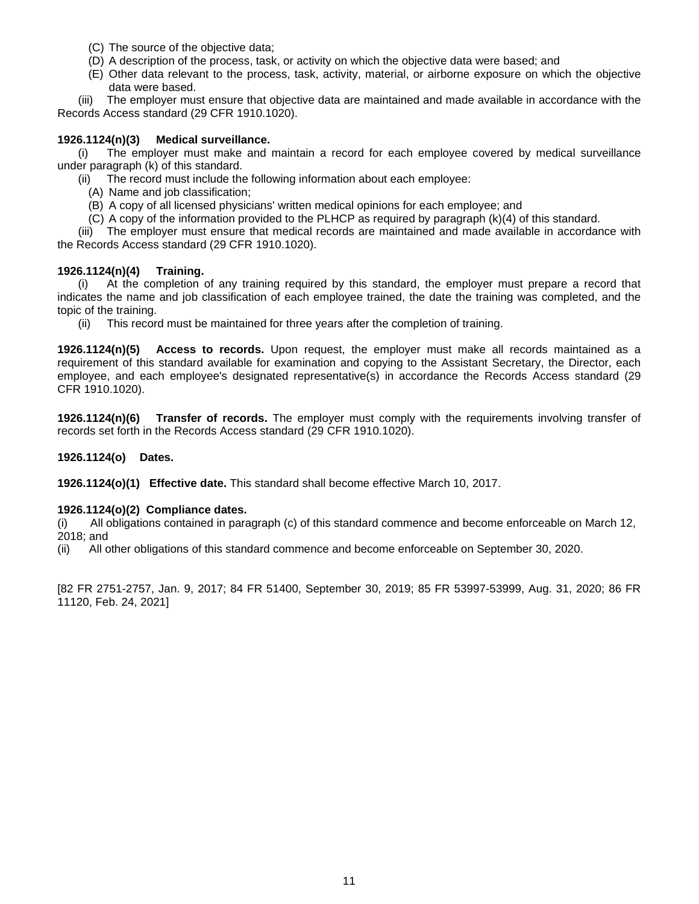- (C) The source of the objective data;
- (D) A description of the process, task, or activity on which the objective data were based; and
- (E) Other data relevant to the process, task, activity, material, or airborne exposure on which the objective data were based.

(iii) The employer must ensure that objective data are maintained and made available in accordance with the Records Access standard (29 CFR 1910.1020).

#### <span id="page-10-0"></span>**1926.1124(n)(3) Medical surveillance.**

(i) The employer must make and maintain a record for each employee covered by medical surveillance under paragraph (k) of this standard.

- (ii) The record must include the following information about each employee:
	- (A) Name and job classification;
	- (B) A copy of all licensed physicians' written medical opinions for each employee; and
- (C) A copy of the information provided to the PLHCP as required by paragraph (k)(4) of this standard.

(iii) The employer must ensure that medical records are maintained and made available in accordance with the Records Access standard (29 CFR 1910.1020).

#### <span id="page-10-1"></span>**1926.1124(n)(4) Training.**

(i) At the completion of any training required by this standard, the employer must prepare a record that indicates the name and job classification of each employee trained, the date the training was completed, and the topic of the training.

(ii) This record must be maintained for three years after the completion of training.

<span id="page-10-2"></span>**1926.1124(n)(5) Access to records.** Upon request, the employer must make all records maintained as a requirement of this standard available for examination and copying to the Assistant Secretary, the Director, each employee, and each employee's designated representative(s) in accordance the Records Access standard (29 CFR 1910.1020).

<span id="page-10-3"></span>**1926.1124(n)(6) Transfer of records.** The employer must comply with the requirements involving transfer of records set forth in the Records Access standard (29 CFR 1910.1020).

#### <span id="page-10-4"></span>**1926.1124(o) Dates.**

<span id="page-10-5"></span>**1926.1124(o)(1) Effective date.** This standard shall become effective March 10, 2017.

## <span id="page-10-6"></span>**1926.1124(o)(2) Compliance dates.**

(i) All obligations contained in paragraph (c) of this standard commence and become enforceable on March 12, 2018; and

(ii) All other obligations of this standard commence and become enforceable on September 30, 2020.

[82 FR 2751-2757, Jan. 9, 2017; 84 FR 51400, September 30, 2019; 85 FR 53997-53999, Aug. 31, 2020; 86 FR 11120, Feb. 24, 2021]